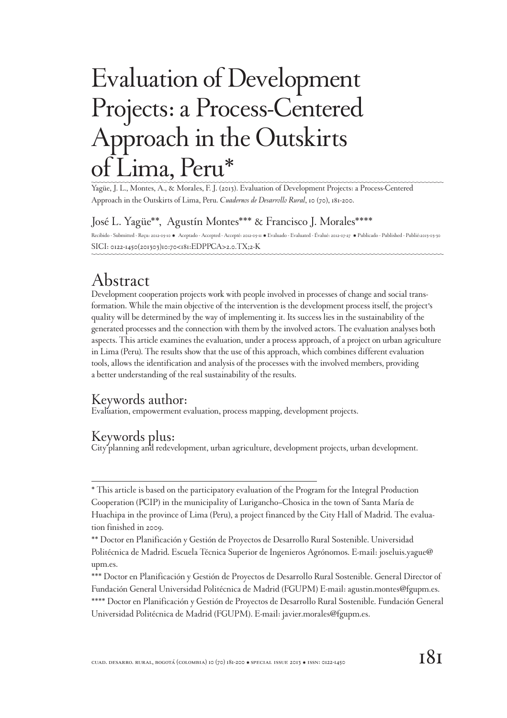# Evaluation of Development Projects: a Process-Centered Approach in the Outskirts ima, Peru\*

Yagüe, J. L., Montes, A., & Morales, F. J. (2013). Evaluation of Development Projects: a Process-Centered Approach in the Outskirts of Lima, Peru. *Cuadernos de Desarrollo Rural*, 10 (70), 181-200.

#### José L. Yagüe\*\*, Agustín Montes\*\*\* & Francisco J. Morales\*\*\*\*

Recibido - Submitted - Reçu: 2012-05-10 · Aceptado - Accepted - Accepté: 2012-05-11 · Evaluado - Evaluated - Évalué: 2012-07-27 · Publicado - Published - Publié:2013-03-30 SICI: 0122-1450(201303)10:70<181:EDPPCA>2.0.TX;2-K

## Abstract

Development cooperation projects work with people involved in processes of change and social transformation. While the main objective of the intervention is the development process itself, the project's quality will be determined by the way of implementing it. Its success lies in the sustainability of the generated processes and the connection with them by the involved actors. The evaluation analyses both aspects. This article examines the evaluation, under a process approach, of a project on urban agriculture in Lima (Peru). The results show that the use of this approach, which combines different evaluation tools, allows the identification and analysis of the processes with the involved members, providing a better understanding of the real sustainability of the results.

#### Keywords author:

Evaluation, empowerment evaluation, process mapping, development projects.

#### Keywords plus:

City planning and redevelopment, urban agriculture, development projects, urban development.

<sup>\*</sup> This article is based on the participatory evaluation of the Program for the Integral Production Cooperation (PCIP) in the municipality of Lurigancho–Chosica in the town of Santa María de Huachipa in the province of Lima (Peru), a project financed by the City Hall of Madrid. The evaluation finished in 2009.

<sup>\*\*</sup> Doctor en Planificación y Gestión de Proyectos de Desarrollo Rural Sostenible. Universidad Politécnica de Madrid. Escuela Técnica Superior de Ingenieros Agrónomos. E-mail: joseluis.yague@ upm.es.

<sup>\*\*\*</sup> Doctor en Planificación y Gestión de Proyectos de Desarrollo Rural Sostenible. General Director of Fundación General Universidad Politécnica de Madrid (FGUPM) E-mail: agustin.montes@fgupm.es. \*\*\*\* Doctor en Planificación y Gestión de Proyectos de Desarrollo Rural Sostenible. Fundación General Universidad Politécnica de Madrid (FGUPM). E-mail: javier.morales@fgupm.es.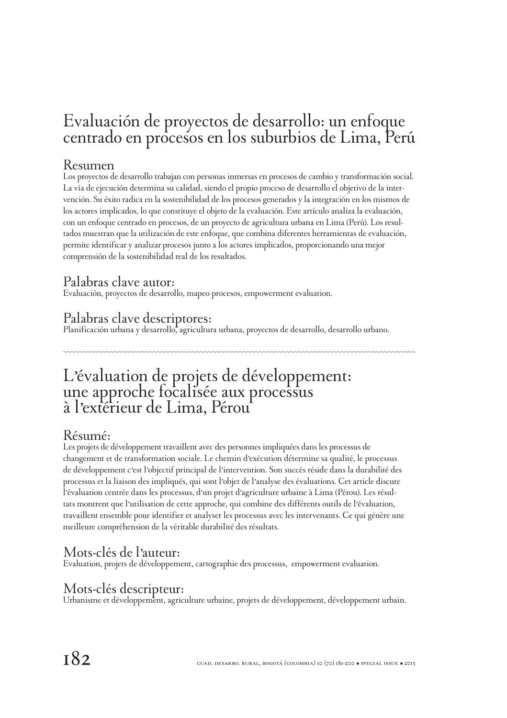## Evaluación de proyectos de desarrollo: un enfoque centrado en procesos en los suburbios de Lima, Perú

#### Resumen

Los proyectos de desarrollo trabajan con personas inmersas en procesos de cambio y transformación social. La vía de ejecución determina su calidad, siendo el propio proceso de desarrollo el objetivo de la intervención. Su éxito radica en la sostenibilidad de los procesos generados y la integración en los mismos de los actores implicados, lo que constituye el objeto de la evaluación. Este artículo analiza la evaluación, con un enfoque centrado en procesos, de un proyecto de agricultura urbana en Lima (Perú). Los resultados muestran que la utilización de este enfoque, que combina diferentes herramientas de evaluación, permite identificar y analizar procesos junto a los actores implicados, proporcionando una mejor comprensión de la sostenibilidad real de los resultados.

#### Palabras clave autor:

Evaluación, proyectos de desarrollo, mapeo procesos, empowerment evaluation.

#### Palabras clave descriptores:

Planificación urbana y desarrollo, agricultura urbana, proyectos de desarrollo, desarrollo urbano.

## L'évaluation de projets de développement: une approche focalisée aux processus à l'extérieur de Lima, Pérou

#### Résumé:

Les projets de développement travaillent avec des personnes impliquées dans les processus de changement et de transformation sociale. Le chemin d'exécution détermine sa qualité, le processus de développement c'est l'objectif principal de l'intervention. Son succès réside dans la durabilité des processus et la liaison des impliqués, qui sont l'objet de l'analyse des évaluations. Cet article discute l'évaluation centrée dans les processus, d'un projet d'agriculture urbaine à Lima (Pérou). Les résultats montrent que l'utilisation de cette approche, qui combine des différents outils de l'évaluation, travaillent ensemble pour identifier et analyser les processus avec les intervenants. Ce qui génère une meilleure compréhension de la véritable durabilité des résultats.

#### Mots-clés de l'auteur:

Evaluation, projets de développement, cartographie des processus, empowerment evaluation.

#### Mots-clés descripteur:

Urbanisme et développement, agriculture urbaine, projets de développement, développement urbain.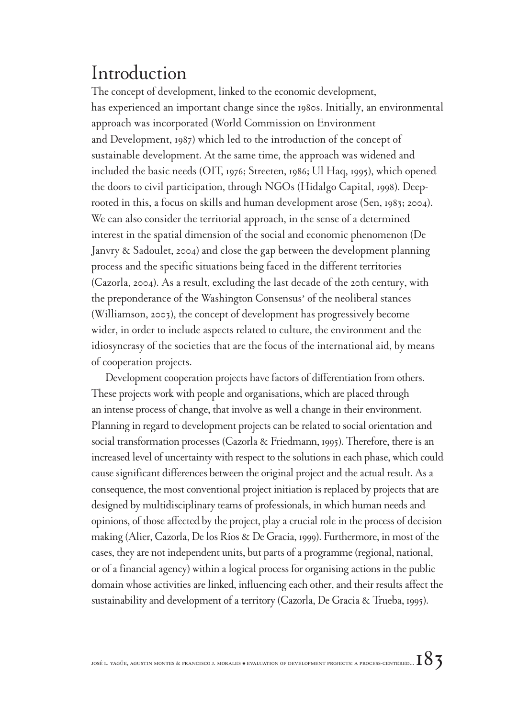## Introduction

The concept of development, linked to the economic development, has experienced an important change since the 1980s. Initially, an environmental approach was incorporated (World Commission on Environment and Development, 1987) which led to the introduction of the concept of sustainable development. At the same time, the approach was widened and included the basic needs (OIT, 1976; Streeten, 1986; Ul Haq, 1995), which opened the doors to civil participation, through NGOs (Hidalgo Capital, 1998). Deeprooted in this, a focus on skills and human development arose (Sen, 1983; 2004). We can also consider the territorial approach, in the sense of a determined interest in the spatial dimension of the social and economic phenomenon (De Janvry & Sadoulet, 2004) and close the gap between the development planning process and the specific situations being faced in the different territories (Cazorla, 2004). As a result, excluding the last decade of the 20th century, with the preponderance of the Washington Consensus' of the neoliberal stances (Williamson, 2003), the concept of development has progressively become wider, in order to include aspects related to culture, the environment and the idiosyncrasy of the societies that are the focus of the international aid, by means of cooperation projects.

Development cooperation projects have factors of differentiation from others. These projects work with people and organisations, which are placed through an intense process of change, that involve as well a change in their environment. Planning in regard to development projects can be related to social orientation and social transformation processes (Cazorla & Friedmann, 1995). Therefore, there is an increased level of uncertainty with respect to the solutions in each phase, which could cause significant differences between the original project and the actual result. As a consequence, the most conventional project initiation is replaced by projects that are designed by multidisciplinary teams of professionals, in which human needs and opinions, of those affected by the project, play a crucial role in the process of decision making (Alier, Cazorla, De los Ríos & De Gracia, 1999). Furthermore, in most of the cases, they are not independent units, but parts of a programme (regional, national, or of a financial agency) within a logical process for organising actions in the public domain whose activities are linked, influencing each other, and their results affect the sustainability and development of a territory (Cazorla, De Gracia & Trueba, 1995).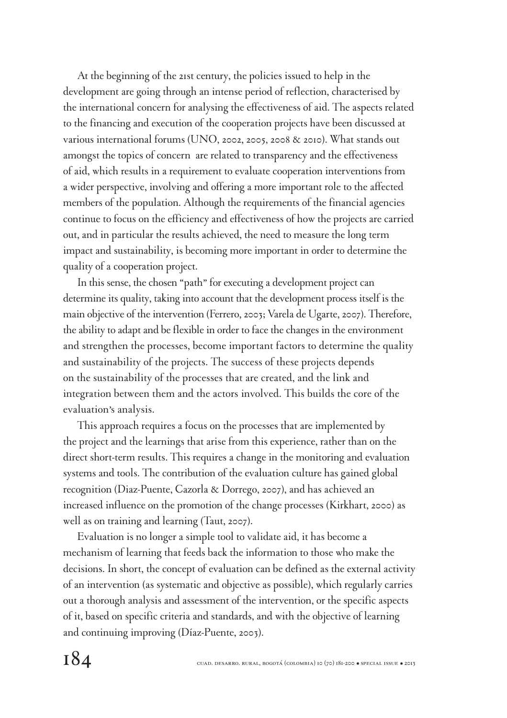At the beginning of the 21st century, the policies issued to help in the development are going through an intense period of reflection, characterised by the international concern for analysing the effectiveness of aid. The aspects related to the financing and execution of the cooperation projects have been discussed at various international forums (UNO, 2002, 2005, 2008 & 2010). What stands out amongst the topics of concern are related to transparency and the effectiveness of aid, which results in a requirement to evaluate cooperation interventions from a wider perspective, involving and offering a more important role to the affected members of the population. Although the requirements of the financial agencies continue to focus on the efficiency and effectiveness of how the projects are carried out, and in particular the results achieved, the need to measure the long term impact and sustainability, is becoming more important in order to determine the quality of a cooperation project.

In this sense, the chosen "path" for executing a development project can determine its quality, taking into account that the development process itself is the main objective of the intervention (Ferrero, 2003; Varela de Ugarte, 2007). Therefore, the ability to adapt and be flexible in order to face the changes in the environment and strengthen the processes, become important factors to determine the quality and sustainability of the projects. The success of these projects depends on the sustainability of the processes that are created, and the link and integration between them and the actors involved. This builds the core of the evaluation's analysis.

This approach requires a focus on the processes that are implemented by the project and the learnings that arise from this experience, rather than on the direct short-term results. This requires a change in the monitoring and evaluation systems and tools. The contribution of the evaluation culture has gained global recognition (Diaz-Puente, Cazorla & Dorrego, 2007), and has achieved an increased influence on the promotion of the change processes (Kirkhart, 2000) as well as on training and learning (Taut, 2007).

Evaluation is no longer a simple tool to validate aid, it has become a mechanism of learning that feeds back the information to those who make the decisions. In short, the concept of evaluation can be defined as the external activity of an intervention (as systematic and objective as possible), which regularly carries out a thorough analysis and assessment of the intervention, or the specific aspects of it, based on specific criteria and standards, and with the objective of learning and continuing improving (Díaz-Puente, 2003).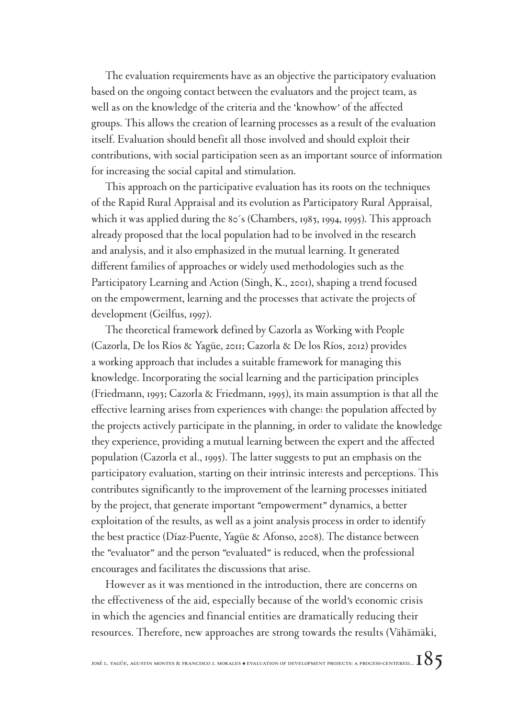The evaluation requirements have as an objective the participatory evaluation based on the ongoing contact between the evaluators and the project team, as well as on the knowledge of the criteria and the 'knowhow' of the affected groups. This allows the creation of learning processes as a result of the evaluation itself. Evaluation should benefit all those involved and should exploit their contributions, with social participation seen as an important source of information for increasing the social capital and stimulation.

This approach on the participative evaluation has its roots on the techniques of the Rapid Rural Appraisal and its evolution as Participatory Rural Appraisal, which it was applied during the 80's (Chambers, 1983, 1994, 1995). This approach already proposed that the local population had to be involved in the research and analysis, and it also emphasized in the mutual learning. It generated different families of approaches or widely used methodologies such as the Participatory Learning and Action (Singh, K., 2001), shaping a trend focused on the empowerment, learning and the processes that activate the projects of development (Geilfus, 1997).

The theoretical framework defined by Cazorla as Working with People (Cazorla, De los Ríos & Yagüe, 2011; Cazorla & De los Ríos, 2012) provides a working approach that includes a suitable framework for managing this knowledge. Incorporating the social learning and the participation principles (Friedmann, 1993; Cazorla & Friedmann, 1995), its main assumption is that all the effective learning arises from experiences with change: the population affected by the projects actively participate in the planning, in order to validate the knowledge they experience, providing a mutual learning between the expert and the affected population (Cazorla et al., 1995). The latter suggests to put an emphasis on the participatory evaluation, starting on their intrinsic interests and perceptions. This contributes significantly to the improvement of the learning processes initiated by the project, that generate important "empowerment" dynamics, a better exploitation of the results, as well as a joint analysis process in order to identify the best practice (Díaz-Puente, Yagüe & Afonso, 2008). The distance between the "evaluator" and the person "evaluated" is reduced, when the professional encourages and facilitates the discussions that arise.

However as it was mentioned in the introduction, there are concerns on the effectiveness of the aid, especially because of the world's economic crisis in which the agencies and financial entities are dramatically reducing their resources. Therefore, new approaches are strong towards the results (Vähämäki,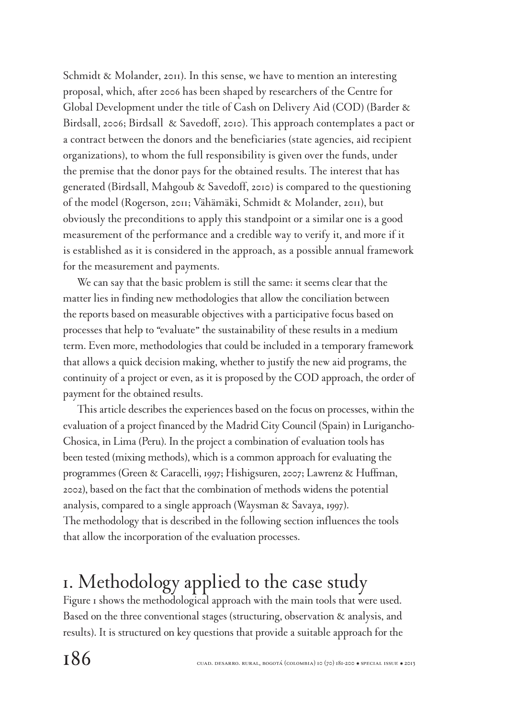Schmidt & Molander, 2011). In this sense, we have to mention an interesting proposal, which, after 2006 has been shaped by researchers of the Centre for Global Development under the title of Cash on Delivery Aid (COD) (Barder & Birdsall, 2006; Birdsall & Savedoff, 2010). This approach contemplates a pact or a contract between the donors and the beneficiaries (state agencies, aid recipient organizations), to whom the full responsibility is given over the funds, under the premise that the donor pays for the obtained results. The interest that has generated (Birdsall, Mahgoub & Savedoff, 2010) is compared to the questioning of the model (Rogerson, 2011; Vähämäki, Schmidt & Molander, 2011), but obviously the preconditions to apply this standpoint or a similar one is a good measurement of the performance and a credible way to verify it, and more if it is established as it is considered in the approach, as a possible annual framework for the measurement and payments.

We can say that the basic problem is still the same: it seems clear that the matter lies in finding new methodologies that allow the conciliation between the reports based on measurable objectives with a participative focus based on processes that help to "evaluate" the sustainability of these results in a medium term. Even more, methodologies that could be included in a temporary framework that allows a quick decision making, whether to justify the new aid programs, the continuity of a project or even, as it is proposed by the COD approach, the order of payment for the obtained results.

This article describes the experiences based on the focus on processes, within the evaluation of a project financed by the Madrid City Council (Spain) in Lurigancho-Chosica, in Lima (Peru). In the project a combination of evaluation tools has been tested (mixing methods), which is a common approach for evaluating the programmes (Green & Caracelli, 1997; Hishigsuren, 2007; Lawrenz & Huffman, 2002), based on the fact that the combination of methods widens the potential analysis, compared to a single approach (Waysman & Savaya, 1997). The methodology that is described in the following section influences the tools that allow the incorporation of the evaluation processes.

## 1. Methodology applied to the case study

Figure 1 shows the methodological approach with the main tools that were used. Based on the three conventional stages (structuring, observation & analysis, and results). It is structured on key questions that provide a suitable approach for the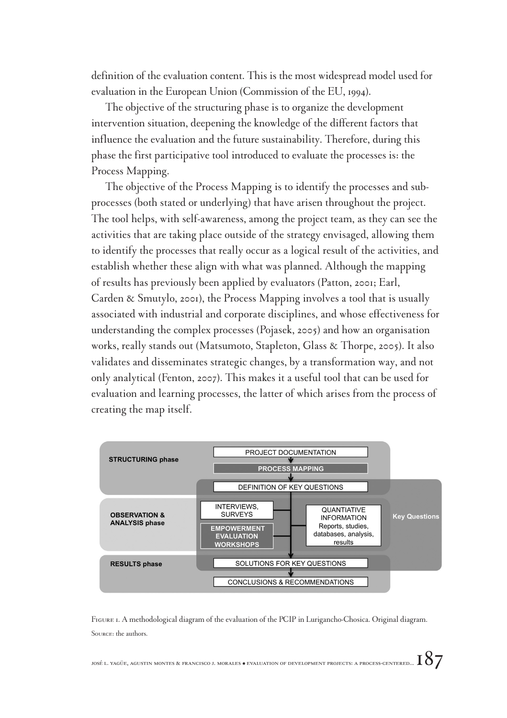definition of the evaluation content. This is the most widespread model used for evaluation in the European Union (Commission of the EU, 1994).

The objective of the structuring phase is to organize the development intervention situation, deepening the knowledge of the different factors that influence the evaluation and the future sustainability. Therefore, during this phase the first participative tool introduced to evaluate the processes is: the Process Mapping.

The objective of the Process Mapping is to identify the processes and subprocesses (both stated or underlying) that have arisen throughout the project. The tool helps, with self-awareness, among the project team, as they can see the activities that are taking place outside of the strategy envisaged, allowing them to identify the processes that really occur as a logical result of the activities, and establish whether these align with what was planned. Although the mapping of results has previously been applied by evaluators (Patton, 2001; Earl, Carden & Smutylo, 2001), the Process Mapping involves a tool that is usually associated with industrial and corporate disciplines, and whose effectiveness for understanding the complex processes (Pojasek, 2005) and how an organisation works, really stands out (Matsumoto, Stapleton, Glass & Thorpe, 2005). It also validates and disseminates strategic changes, by a transformation way, and not only analytical (Fenton, 2007). This makes it a useful tool that can be used for evaluation and learning processes, the latter of which arises from the process of creating the map itself.



FIGURE 1. A methodological diagram of the evaluation of the PCIP in Lurigancho-Chosica. Original diagram. Source: the authors.

josé l. yagüe, agustin montes & francisco j. morales  $*$  evaluation of development projects: a process-centered...  $187$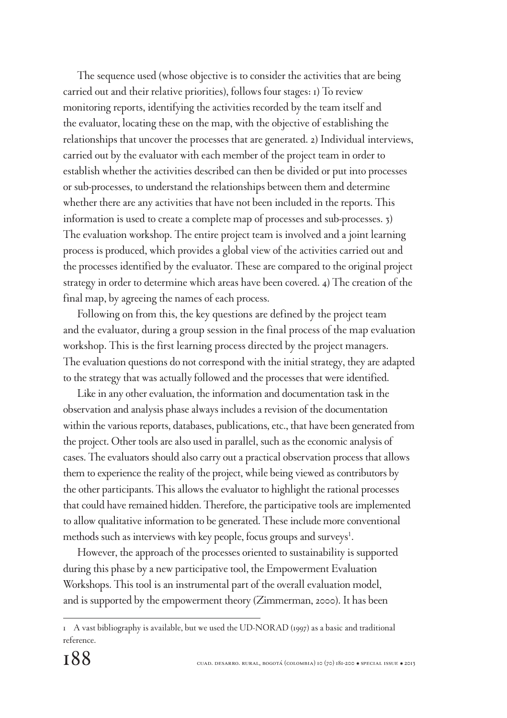The sequence used (whose objective is to consider the activities that are being carried out and their relative priorities), follows four stages: 1) To review monitoring reports, identifying the activities recorded by the team itself and the evaluator, locating these on the map, with the objective of establishing the relationships that uncover the processes that are generated. 2) Individual interviews, carried out by the evaluator with each member of the project team in order to establish whether the activities described can then be divided or put into processes or sub-processes, to understand the relationships between them and determine whether there are any activities that have not been included in the reports. This information is used to create a complete map of processes and sub-processes. 3) The evaluation workshop. The entire project team is involved and a joint learning process is produced, which provides a global view of the activities carried out and the processes identified by the evaluator. These are compared to the original project strategy in order to determine which areas have been covered. 4) The creation of the final map, by agreeing the names of each process.

Following on from this, the key questions are defined by the project team and the evaluator, during a group session in the final process of the map evaluation workshop. This is the first learning process directed by the project managers. The evaluation questions do not correspond with the initial strategy, they are adapted to the strategy that was actually followed and the processes that were identified.

Like in any other evaluation, the information and documentation task in the observation and analysis phase always includes a revision of the documentation within the various reports, databases, publications, etc., that have been generated from the project. Other tools are also used in parallel, such as the economic analysis of cases. The evaluators should also carry out a practical observation process that allows them to experience the reality of the project, while being viewed as contributors by the other participants. This allows the evaluator to highlight the rational processes that could have remained hidden. Therefore, the participative tools are implemented to allow qualitative information to be generated. These include more conventional methods such as interviews with key people, focus groups and surveys<sup>1</sup>.

However, the approach of the processes oriented to sustainability is supported during this phase by a new participative tool, the Empowerment Evaluation Workshops. This tool is an instrumental part of the overall evaluation model, and is supported by the empowerment theory (Zimmerman, 2000). It has been

<sup>1</sup> A vast bibliography is available, but we used the UD-NORAD (1997) as a basic and traditional reference.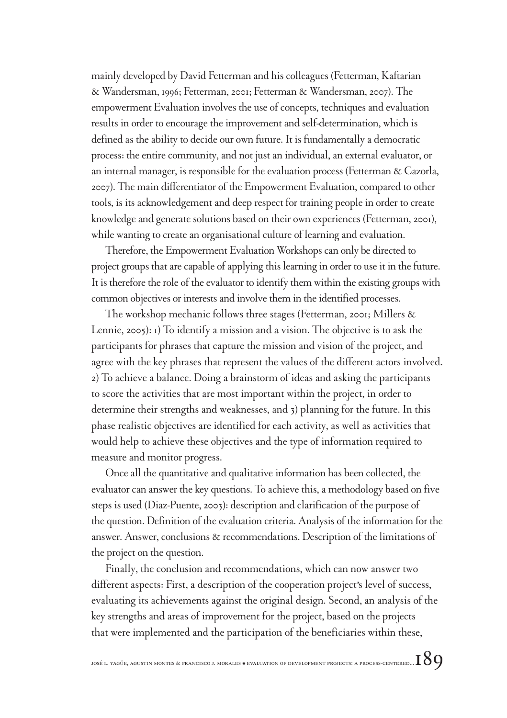mainly developed by David Fetterman and his colleagues (Fetterman, Kaftarian & Wandersman, 1996; Fetterman, 2001; Fetterman & Wandersman, 2007). The empowerment Evaluation involves the use of concepts, techniques and evaluation results in order to encourage the improvement and self-determination, which is defined as the ability to decide our own future. It is fundamentally a democratic process: the entire community, and not just an individual, an external evaluator, or an internal manager, is responsible for the evaluation process (Fetterman & Cazorla, 2007). The main differentiator of the Empowerment Evaluation, compared to other tools, is its acknowledgement and deep respect for training people in order to create knowledge and generate solutions based on their own experiences (Fetterman, 2001), while wanting to create an organisational culture of learning and evaluation.

Therefore, the Empowerment Evaluation Workshops can only be directed to project groups that are capable of applying this learning in order to use it in the future. It is therefore the role of the evaluator to identify them within the existing groups with common objectives or interests and involve them in the identified processes.

The workshop mechanic follows three stages (Fetterman, 2001; Millers & Lennie, 2005): 1) To identify a mission and a vision. The objective is to ask the participants for phrases that capture the mission and vision of the project, and agree with the key phrases that represent the values of the different actors involved. 2) To achieve a balance. Doing a brainstorm of ideas and asking the participants to score the activities that are most important within the project, in order to determine their strengths and weaknesses, and 3) planning for the future. In this phase realistic objectives are identified for each activity, as well as activities that would help to achieve these objectives and the type of information required to measure and monitor progress.

Once all the quantitative and qualitative information has been collected, the evaluator can answer the key questions. To achieve this, a methodology based on five steps is used (Diaz-Puente, 2003): description and clarification of the purpose of the question. Definition of the evaluation criteria. Analysis of the information for the answer. Answer, conclusions & recommendations. Description of the limitations of the project on the question.

Finally, the conclusion and recommendations, which can now answer two different aspects: First, a description of the cooperation project's level of success, evaluating its achievements against the original design. Second, an analysis of the key strengths and areas of improvement for the project, based on the projects that were implemented and the participation of the beneficiaries within these,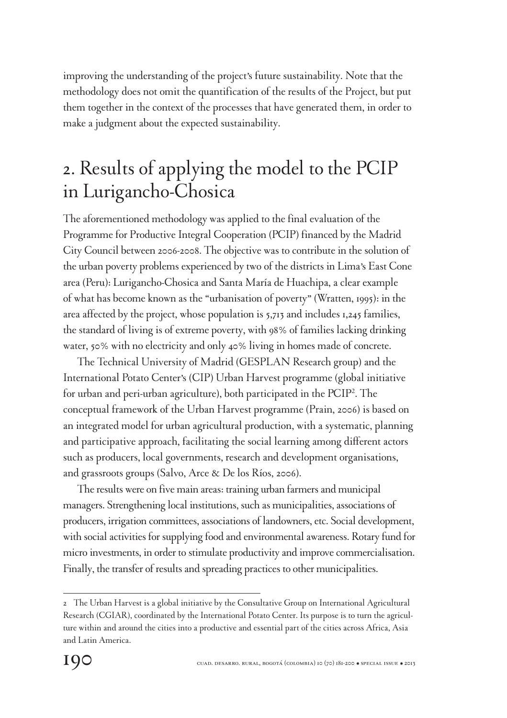improving the understanding of the project's future sustainability. Note that the methodology does not omit the quantification of the results of the Project, but put them together in the context of the processes that have generated them, in order to make a judgment about the expected sustainability.

## 2. Results of applying the model to the PCIP in Lurigancho-Chosica

The aforementioned methodology was applied to the final evaluation of the Programme for Productive Integral Cooperation (PCIP) financed by the Madrid City Council between 2006-2008. The objective was to contribute in the solution of the urban poverty problems experienced by two of the districts in Lima's East Cone area (Peru): Lurigancho-Chosica and Santa María de Huachipa, a clear example of what has become known as the "urbanisation of poverty" (Wratten, 1995): in the area affected by the project, whose population is 5,713 and includes 1,245 families, the standard of living is of extreme poverty, with 98% of families lacking drinking water, 50% with no electricity and only 40% living in homes made of concrete.

The Technical University of Madrid (GESPLAN Research group) and the International Potato Center's (CIP) Urban Harvest programme (global initiative for urban and peri-urban agriculture), both participated in the PCIP<sup>2</sup> . The conceptual framework of the Urban Harvest programme (Prain, 2006) is based on an integrated model for urban agricultural production, with a systematic, planning and participative approach, facilitating the social learning among different actors such as producers, local governments, research and development organisations, and grassroots groups (Salvo, Arce & De los Ríos, 2006).

The results were on five main areas: training urban farmers and municipal managers. Strengthening local institutions, such as municipalities, associations of producers, irrigation committees, associations of landowners, etc. Social development, with social activities for supplying food and environmental awareness. Rotary fund for micro investments, in order to stimulate productivity and improve commercialisation. Finally, the transfer of results and spreading practices to other municipalities.

<sup>2</sup> The Urban Harvest is a global initiative by the Consultative Group on International Agricultural Research (CGIAR), coordinated by the International Potato Center. Its purpose is to turn the agriculture within and around the cities into a productive and essential part of the cities across Africa, Asia and Latin America.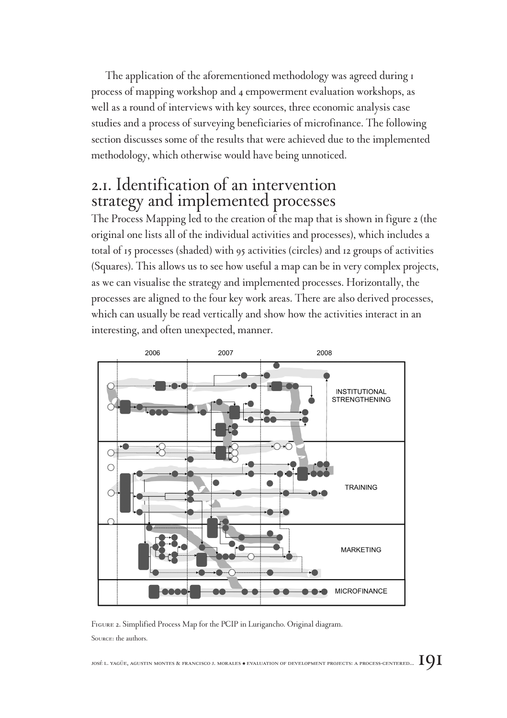The application of the aforementioned methodology was agreed during 1 process of mapping workshop and 4 empowerment evaluation workshops, as well as a round of interviews with key sources, three economic analysis case studies and a process of surveying beneficiaries of microfinance. The following section discusses some of the results that were achieved due to the implemented methodology, which otherwise would have being unnoticed.

### 2.1. Identification of an intervention strategy and implemented processes

The Process Mapping led to the creation of the map that is shown in figure 2 (the original one lists all of the individual activities and processes), which includes a total of 15 processes (shaded) with 95 activities (circles) and 12 groups of activities (Squares). This allows us to see how useful a map can be in very complex projects, as we can visualise the strategy and implemented processes. Horizontally, the processes are aligned to the four key work areas. There are also derived processes, which can usually be read vertically and show how the activities interact in an interesting, and often unexpected, manner.



Figure 2. Simplified Process Map for the PCIP in Lurigancho. Original diagram. Source: the authors.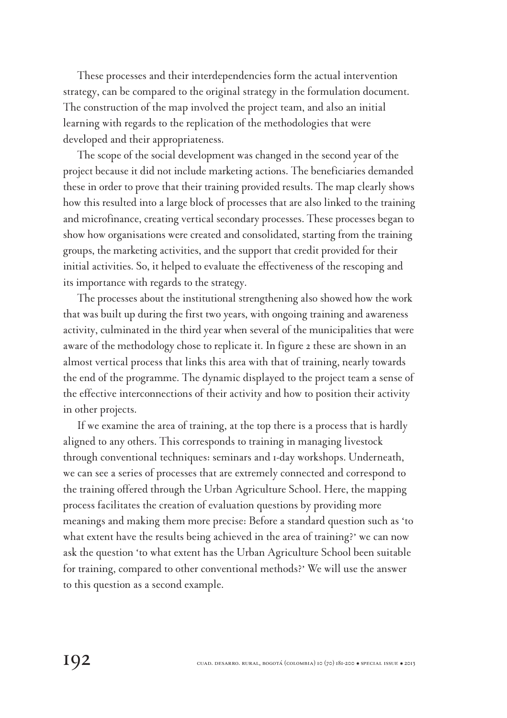These processes and their interdependencies form the actual intervention strategy, can be compared to the original strategy in the formulation document. The construction of the map involved the project team, and also an initial learning with regards to the replication of the methodologies that were developed and their appropriateness.

The scope of the social development was changed in the second year of the project because it did not include marketing actions. The beneficiaries demanded these in order to prove that their training provided results. The map clearly shows how this resulted into a large block of processes that are also linked to the training and microfinance, creating vertical secondary processes. These processes began to show how organisations were created and consolidated, starting from the training groups, the marketing activities, and the support that credit provided for their initial activities. So, it helped to evaluate the effectiveness of the rescoping and its importance with regards to the strategy.

The processes about the institutional strengthening also showed how the work that was built up during the first two years, with ongoing training and awareness activity, culminated in the third year when several of the municipalities that were aware of the methodology chose to replicate it. In figure 2 these are shown in an almost vertical process that links this area with that of training, nearly towards the end of the programme. The dynamic displayed to the project team a sense of the effective interconnections of their activity and how to position their activity in other projects.

If we examine the area of training, at the top there is a process that is hardly aligned to any others. This corresponds to training in managing livestock through conventional techniques: seminars and 1-day workshops. Underneath, we can see a series of processes that are extremely connected and correspond to the training offered through the Urban Agriculture School. Here, the mapping process facilitates the creation of evaluation questions by providing more meanings and making them more precise: Before a standard question such as 'to what extent have the results being achieved in the area of training?' we can now ask the question 'to what extent has the Urban Agriculture School been suitable for training, compared to other conventional methods?' We will use the answer to this question as a second example.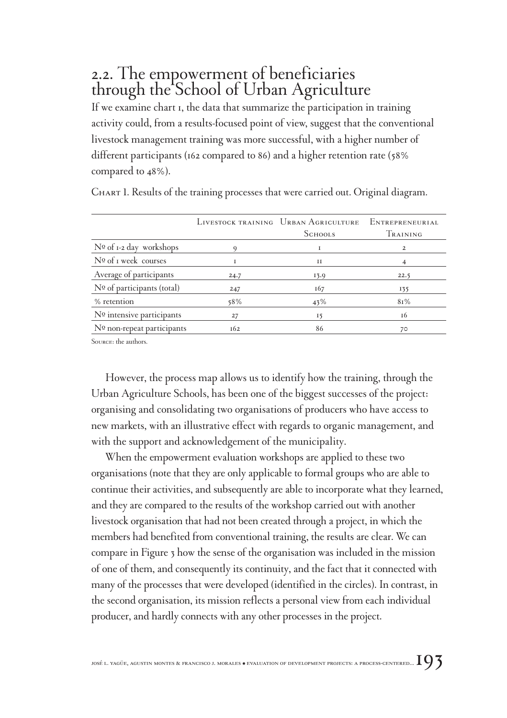## 2.2. The empowerment of beneficiaries through the School of Urban Agriculture

If we examine chart 1, the data that summarize the participation in training activity could, from a results-focused point of view, suggest that the conventional livestock management training was more successful, with a higher number of different participants (162 compared to 86) and a higher retention rate (58% compared to 48%).

|                                |      | LIVESTOCK TRAINING URBAN AGRICULTURE | <b>ENTREPRENEURIAL</b> |
|--------------------------------|------|--------------------------------------|------------------------|
|                                |      | <b>SCHOOLS</b>                       | TRAINING               |
| $N0$ of 1-2 day workshops      | 9    |                                      | 2                      |
| $N^{\Omega}$ of I week courses |      | 11                                   |                        |
| Average of participants        | 24.7 | 13.9                                 | 22.5                   |
| $No$ of participants (total)   | 247  | 167                                  | 135                    |
| % retention                    | 58%  | 43%                                  | 81%                    |
| Nº intensive participants      | 27   | 15                                   | 16                     |
| Nº non-repeat participants     | 162  | 86                                   | 70                     |

CHART 1. Results of the training processes that were carried out. Original diagram.

Source: the authors.

However, the process map allows us to identify how the training, through the Urban Agriculture Schools, has been one of the biggest successes of the project: organising and consolidating two organisations of producers who have access to new markets, with an illustrative effect with regards to organic management, and with the support and acknowledgement of the municipality.

When the empowerment evaluation workshops are applied to these two organisations (note that they are only applicable to formal groups who are able to continue their activities, and subsequently are able to incorporate what they learned, and they are compared to the results of the workshop carried out with another livestock organisation that had not been created through a project, in which the members had benefited from conventional training, the results are clear. We can compare in Figure 3 how the sense of the organisation was included in the mission of one of them, and consequently its continuity, and the fact that it connected with many of the processes that were developed (identified in the circles). In contrast, in the second organisation, its mission reflects a personal view from each individual producer, and hardly connects with any other processes in the project.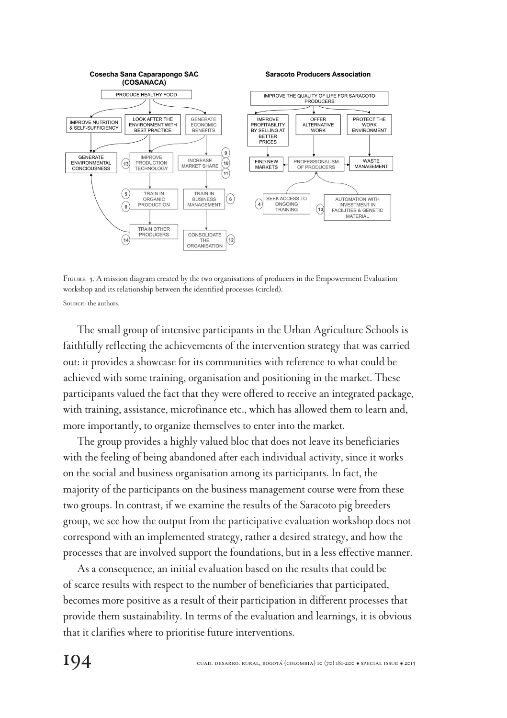

Figure 3. A mission diagram created by the two organisations of producers in the Empowerment Evaluation workshop and its relationship between the identified processes (circled). Source: the authors.

The small group of intensive participants in the Urban Agriculture Schools is faithfully reflecting the achievements of the intervention strategy that was carried out: it provides a showcase for its communities with reference to what could be achieved with some training, organisation and positioning in the market. These participants valued the fact that they were offered to receive an integrated package, with training, assistance, microfinance etc., which has allowed them to learn and, more importantly, to organize themselves to enter into the market.

The group provides a highly valued bloc that does not leave its beneficiaries with the feeling of being abandoned after each individual activity, since it works on the social and business organisation among its participants. In fact, the majority of the participants on the business management course were from these two groups. In contrast, if we examine the results of the Saracoto pig breeders group, we see how the output from the participative evaluation workshop does not correspond with an implemented strategy, rather a desired strategy, and how the processes that are involved support the foundations, but in a less effective manner.

As a consequence, an initial evaluation based on the results that could be of scarce results with respect to the number of beneficiaries that participated, becomes more positive as a result of their participation in different processes that provide them sustainability. In terms of the evaluation and learnings, it is obvious that it clarifies where to prioritise future interventions.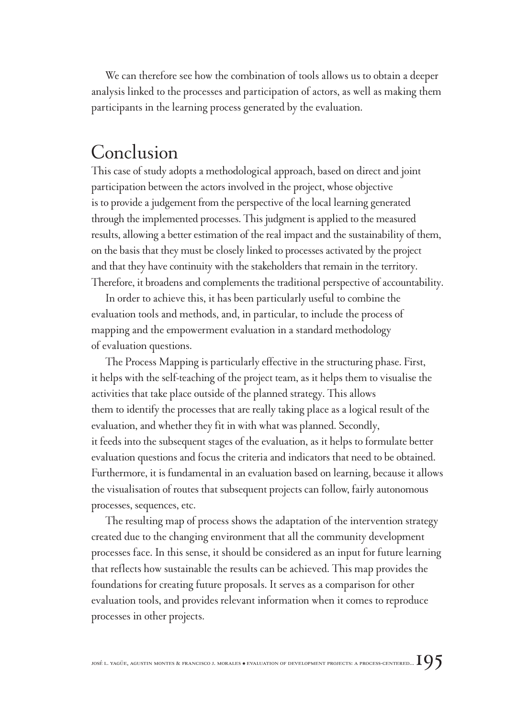We can therefore see how the combination of tools allows us to obtain a deeper analysis linked to the processes and participation of actors, as well as making them participants in the learning process generated by the evaluation.

## Conclusion

This case of study adopts a methodological approach, based on direct and joint participation between the actors involved in the project, whose objective is to provide a judgement from the perspective of the local learning generated through the implemented processes. This judgment is applied to the measured results, allowing a better estimation of the real impact and the sustainability of them, on the basis that they must be closely linked to processes activated by the project and that they have continuity with the stakeholders that remain in the territory. Therefore, it broadens and complements the traditional perspective of accountability.

In order to achieve this, it has been particularly useful to combine the evaluation tools and methods, and, in particular, to include the process of mapping and the empowerment evaluation in a standard methodology of evaluation questions.

The Process Mapping is particularly effective in the structuring phase. First, it helps with the self-teaching of the project team, as it helps them to visualise the activities that take place outside of the planned strategy. This allows them to identify the processes that are really taking place as a logical result of the evaluation, and whether they fit in with what was planned. Secondly, it feeds into the subsequent stages of the evaluation, as it helps to formulate better evaluation questions and focus the criteria and indicators that need to be obtained. Furthermore, it is fundamental in an evaluation based on learning, because it allows the visualisation of routes that subsequent projects can follow, fairly autonomous processes, sequences, etc.

The resulting map of process shows the adaptation of the intervention strategy created due to the changing environment that all the community development processes face. In this sense, it should be considered as an input for future learning that reflects how sustainable the results can be achieved. This map provides the foundations for creating future proposals. It serves as a comparison for other evaluation tools, and provides relevant information when it comes to reproduce processes in other projects.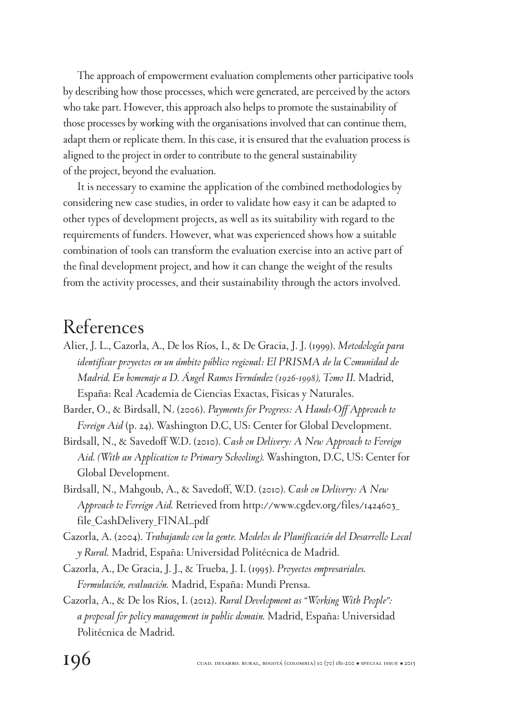The approach of empowerment evaluation complements other participative tools by describing how those processes, which were generated, are perceived by the actors who take part. However, this approach also helps to promote the sustainability of those processes by working with the organisations involved that can continue them, adapt them or replicate them. In this case, it is ensured that the evaluation process is aligned to the project in order to contribute to the general sustainability of the project, beyond the evaluation.

It is necessary to examine the application of the combined methodologies by considering new case studies, in order to validate how easy it can be adapted to other types of development projects, as well as its suitability with regard to the requirements of funders. However, what was experienced shows how a suitable combination of tools can transform the evaluation exercise into an active part of the final development project, and how it can change the weight of the results from the activity processes, and their sustainability through the actors involved.

## References

- Alier, J. L., Cazorla, A., De los Ríos, I., & De Gracia, J. J. (1999). *Metodología para identificar proyectos en un ámbito público regional: El PRISMA de la Comunidad de Madrid. En homenaje a D. Ángel Ramos Fernández (1926-1998), Tomo II.* Madrid, España: Real Academia de Ciencias Exactas, Físicas y Naturales.
- Barder, O., & Birdsall, N. (2006). *Payments for Progress: A Hands-Off Approach to Foreign Aid* (p. 24). Washington D.C, US: Center for Global Development.
- Birdsall, N., & Savedoff W.D. (2010). *Cash on Delivery: A New Approach to Foreign Aid. (With an Application to Primary Schooling).* Washington, D.C, US: Center for Global Development.
- Birdsall, N., Mahgoub, A., & Savedoff, W.D. (2010). *Cash on Delivery: A New Approach to Foreign Aid.* Retrieved from http://www.cgdev.org/files/1424603\_ file\_CashDelivery\_FINAL.pdf
- Cazorla, A. (2004). *Trabajando con la gente. Modelos de Planificación del Desarrollo Local y Rural.* Madrid, España: Universidad Politécnica de Madrid.
- Cazorla, A., De Gracia, J. J., & Trueba, J. I. (1995). *Proyectos empresariales. Formulación, evaluación.* Madrid, España: Mundi Prensa.
- Cazorla, A., & De los Ríos, I. (2012). *Rural Development as "Working With People": a proposal for policy management in public domain.* Madrid, España: Universidad Politécnica de Madrid.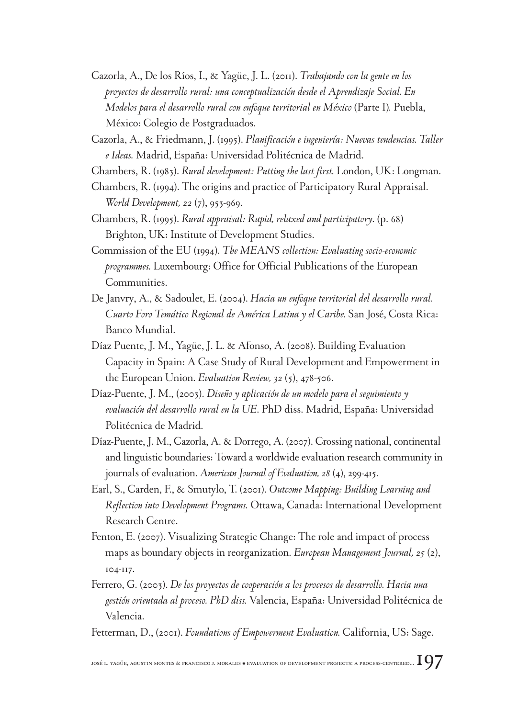- Cazorla, A., De los Ríos, I., & Yagüe, J. L. (2011). *Trabajando con la gente en los proyectos de desarrollo rural: una conceptualización desde el Aprendizaje Social. En Modelos para el desarrollo rural con enfoque territorial en México* (Parte I)*.* Puebla, México: Colegio de Postgraduados.
- Cazorla, A., & Friedmann, J. (1995). *Planificación e ingeniería: Nuevas tendencias. Taller e Ideas.* Madrid, España: Universidad Politécnica de Madrid.
- Chambers, R. (1983). *Rural development: Putting the last first.* London, UK: Longman.
- Chambers, R. (1994). The origins and practice of Participatory Rural Appraisal. *World Development, 22* (7), 953-969.
- Chambers, R. (1995). *Rural appraisal: Rapid, relaxed and participatory*. (p. 68) Brighton, UK: Institute of Development Studies.
- Commission of the EU (1994). *The MEANS collection: Evaluating socio-economic programmes.* Luxembourg: Office for Official Publications of the European Communities.
- De Janvry, A., & Sadoulet, E. (2004). *Hacia un enfoque territorial del desarrollo rural. Cuarto Foro Temático Regional de América Latina y el Caribe.* San José, Costa Rica: Banco Mundial.
- Díaz Puente, J. M., Yagüe, J. L. & Afonso, A. (2008). Building Evaluation Capacity in Spain: A Case Study of Rural Development and Empowerment in the European Union. *Evaluation Review, 32* (5), 478-506.
- Díaz-Puente, J. M., (2003). *Diseño y aplicación de un modelo para el seguimiento y evaluación del desarrollo rural en la UE*. PhD diss. Madrid, España: Universidad Politécnica de Madrid.
- Díaz-Puente, J. M., Cazorla, A. & Dorrego, A. (2007). Crossing national, continental and linguistic boundaries: Toward a worldwide evaluation research community in journals of evaluation. *American Journal of Evaluation, 28* (4), 299-415.
- Earl, S., Carden, F., & Smutylo, T. (2001). *Outcome Mapping: Building Learning and Reflection into Development Programs.* Ottawa, Canada: International Development Research Centre.
- Fenton, E. (2007). Visualizing Strategic Change: The role and impact of process maps as boundary objects in reorganization. *European Management Journal, 25* (2), 104-117.
- Ferrero, G. (2003). *De los proyectos de cooperación a los procesos de desarrollo. Hacia una gestión orientada al proceso. PhD diss.* Valencia, España: Universidad Politécnica de Valencia.

Fetterman, D., (2001). *Foundations of Empowerment Evaluation.* California, US: Sage.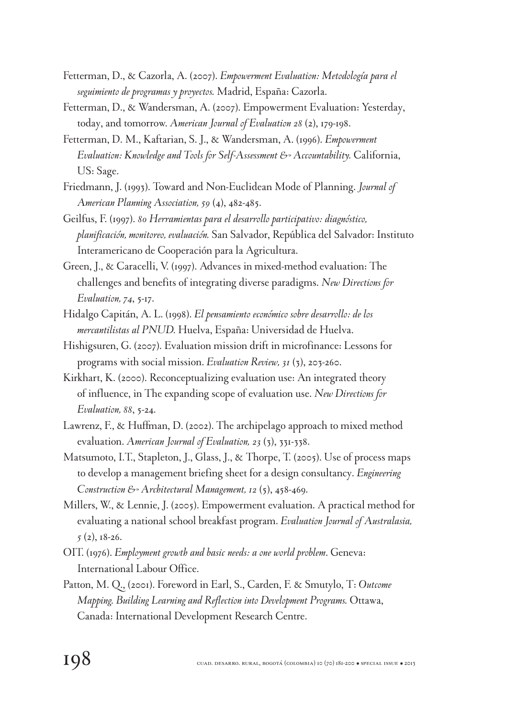- Fetterman, D., & Cazorla, A. (2007). *Empowerment Evaluation: Metodología para el seguimiento de programas y proyectos.* Madrid, España: Cazorla.
- Fetterman, D., & Wandersman, A. (2007). Empowerment Evaluation: Yesterday, today, and tomorrow. *American Journal of Evaluation 28* (2), 179-198.
- Fetterman, D. M., Kaftarian, S. J., & Wandersman, A. (1996). *Empowerment Evaluation: Knowledge and Tools for Self-Assessment & Accountability.* California, US: Sage.
- Friedmann, J. (1993). Toward and Non-Euclidean Mode of Planning. *Journal of American Planning Association, 59* (4), 482-485.
- Geilfus, F. (1997). *80 Herramientas para el desarrollo participativo: diagnóstico, planificación, monitoreo, evaluación.* San Salvador, República del Salvador: Instituto Interamericano de Cooperación para la Agricultura.
- Green, J., & Caracelli, V. (1997). Advances in mixed-method evaluation: The challenges and benefits of integrating diverse paradigms. *New Directions for Evaluation, 74*, 5-17.
- Hidalgo Capitán, A. L. (1998). *El pensamiento económico sobre desarrollo: de los mercantilistas al PNUD.* Huelva, España: Universidad de Huelva.
- Hishigsuren, G. (2007). Evaluation mission drift in microfinance: Lessons for programs with social mission. *Evaluation Review, 31* (3), 203-260.
- Kirkhart, K. (2000). Reconceptualizing evaluation use: An integrated theory of influence, in The expanding scope of evaluation use. *New Directions for Evaluation, 88*, 5-24.
- Lawrenz, F., & Huffman, D. (2002). The archipelago approach to mixed method evaluation. *American Journal of Evaluation, 23* (3), 331-338.
- Matsumoto, I.T., Stapleton, J., Glass, J., & Thorpe, T. (2005). Use of process maps to develop a management briefing sheet for a design consultancy. *Engineering Construction & Architectural Management, 12* (5), 458-469.
- Millers, W., & Lennie, J. (2005). Empowerment evaluation. A practical method for evaluating a national school breakfast program. *Evaluation Journal of Australasia, 5* (2), 18-26.
- OIT. (1976). *Employment growth and basic needs: a one world problem*. Geneva: International Labour Office.
- Patton, M. Q., (2001). Foreword in Earl, S., Carden, F. & Smutylo, T: *Outcome Mapping. Building Learning and Reflection into Development Programs.* Ottawa, Canada: International Development Research Centre.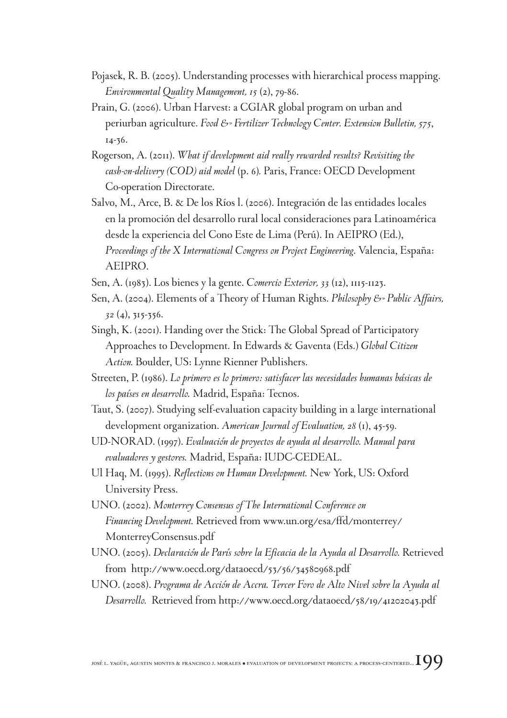- Pojasek, R. B. (2005). Understanding processes with hierarchical process mapping. *Environmental Quality Management, 15* (2), 79-86.
- Prain, G. (2006). Urban Harvest: a CGIAR global program on urban and periurban agriculture. *Food & Fertilizer Technology Center. Extension Bulletin*, 575, 14-36.
- Rogerson, A. (2011). *What if development aid really rewarded results? Revisiting the cash-on-delivery (COD) aid model* (p. 6)*.* Paris, France: OECD Development Co-operation Directorate.
- Salvo, M., Arce, B. & De los Ríos l. (2006). Integración de las entidades locales en la promoción del desarrollo rural local consideraciones para Latinoamérica desde la experiencia del Cono Este de Lima (Perú). In AEIPRO (Ed.), *Proceedings of the X International Congress on Project Engineering*. Valencia, España: AEIPRO.
- Sen, A. (1983). Los bienes y la gente. *Comercio Exterior, 33* (12), 1115-1123.
- Sen, A. (2004). Elements of a Theory of Human Rights. *Philosophy & Public Affairs*, *32* (4), 315-356.
- Singh, K. (2001). Handing over the Stick: The Global Spread of Participatory Approaches to Development. In Edwards & Gaventa (Eds.) *Global Citizen Action.* Boulder, US: Lynne Rienner Publishers.
- Streeten, P. (1986). *Lo primero es lo primero: satisfacer las necesidades humanas básicas de los países en desarrollo.* Madrid, España: Tecnos.
- Taut, S. (2007). Studying self-evaluation capacity building in a large international development organization. *American Journal of Evaluation, 28* (1), 45-59.
- UD-NORAD. (1997). *Evaluación de proyectos de ayuda al desarrollo. Manual para evaluadores y gestores.* Madrid, España: IUDC-CEDEAL.
- Ul Haq, M. (1995). *Reflections on Human Development.* New York, US: Oxford University Press.
- UNO. (2002). *Monterrey Consensus of The International Conference on Financing Development.* Retrieved from www.un.org/esa/ffd/monterrey/ MonterreyConsensus.pdf
- UNO. (2005). *Declaración de París sobre la Eficacia de la Ayuda al Desarrollo.* Retrieved from http://www.oecd.org/dataoecd/53/56/34580968.pdf
- UNO. (2008). *Programa de Acción de Accra. Tercer Foro de Alto Nivel sobre la Ayuda al Desarrollo.* Retrieved from http://www.oecd.org/dataoecd/58/19/41202043.pdf